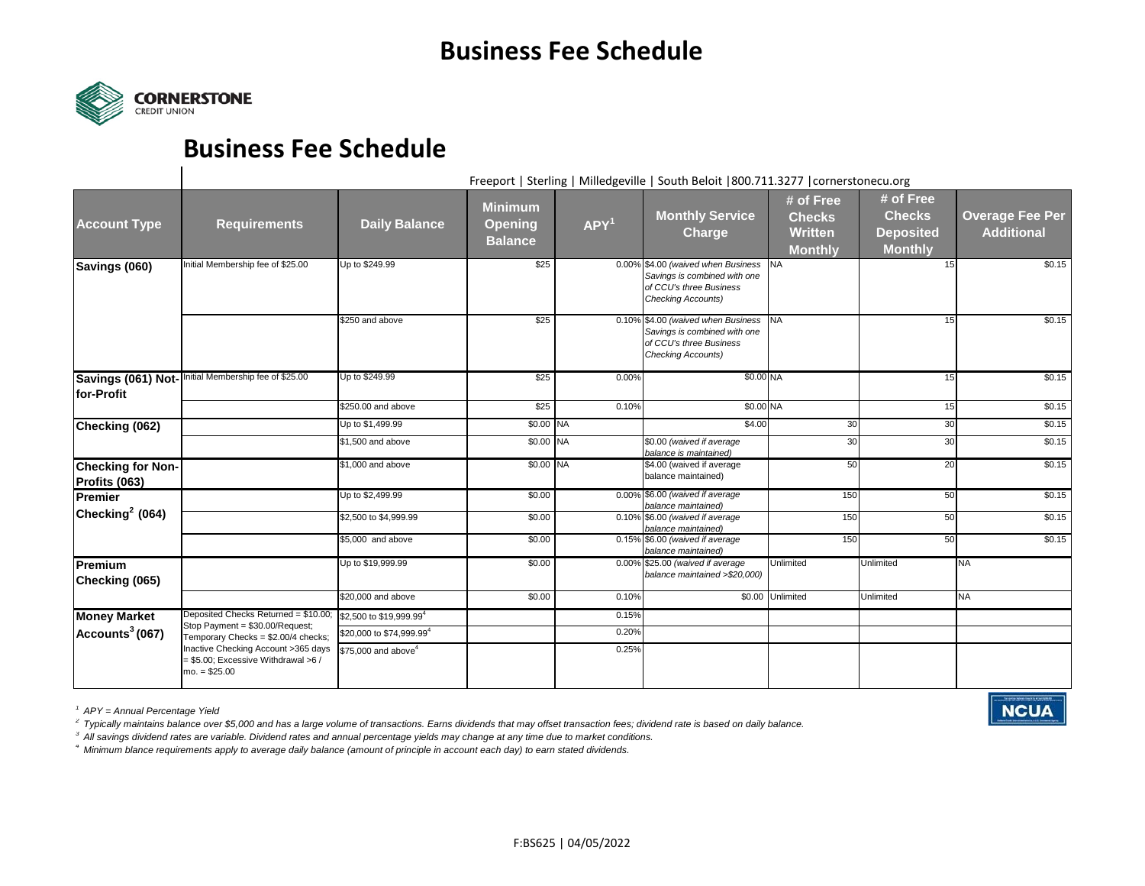

## **Business Fee Schedule**

Freeport | Sterling | Milledgeville | South Beloit |800.711.3277 |cornerstonecu.org

**NCUA** 

| <b>Account Type</b>                       | <b>Requirements</b>                                                                                                                                                                                              | <b>Daily Balance</b>                 | <b>Minimum</b><br><b>Opening</b><br><b>Balance</b> | APY <sup>1</sup> | <b>Monthly Service</b><br><b>Charge</b>                                                                                       | # of Free<br><b>Checks</b><br><b>Written</b><br><b>Monthly</b> | # of Free<br><b>Checks</b><br><b>Deposited</b><br><b>Monthly</b> | <b>Overage Fee Per</b><br><b>Additional</b> |
|-------------------------------------------|------------------------------------------------------------------------------------------------------------------------------------------------------------------------------------------------------------------|--------------------------------------|----------------------------------------------------|------------------|-------------------------------------------------------------------------------------------------------------------------------|----------------------------------------------------------------|------------------------------------------------------------------|---------------------------------------------|
| Savings (060)                             | Initial Membership fee of \$25.00                                                                                                                                                                                | Up to \$249.99                       | \$25                                               |                  | 0.00% \$4.00 (waived when Business NA<br>Savings is combined with one<br>of CCU's three Business<br><b>Checking Accounts)</b> |                                                                | 15                                                               | \$0.15                                      |
|                                           |                                                                                                                                                                                                                  | \$250 and above                      | \$25                                               |                  | 0.10% \$4.00 (waived when Business NA<br>Savings is combined with one<br>of CCU's three Business<br>Checking Accounts)        |                                                                | 15                                                               | \$0.15                                      |
| for-Profit                                | Savings (061) Not-Initial Membership fee of \$25.00                                                                                                                                                              | Up to \$249.99                       | \$25                                               | 0.00%            | \$0.00 NA                                                                                                                     |                                                                | 15                                                               | \$0.15                                      |
|                                           |                                                                                                                                                                                                                  | \$250,00 and above                   | \$25                                               | 0.10%            | \$0.00 NA                                                                                                                     |                                                                | 15                                                               | \$0.15                                      |
| Checking (062)                            |                                                                                                                                                                                                                  | Up to \$1,499.99                     | \$0.00 NA                                          |                  | \$4.00                                                                                                                        | 30                                                             | 30                                                               | \$0.15                                      |
|                                           |                                                                                                                                                                                                                  | \$1,500 and above                    | \$0.00 NA                                          |                  | \$0.00 (waived if average<br>balance is maintained)                                                                           | 30                                                             | 30                                                               | \$0.15                                      |
| <b>Checking for Non-</b><br>Profits (063) |                                                                                                                                                                                                                  | \$1,000 and above                    | \$0.00 NA                                          |                  | \$4.00 (waived if average<br>balance maintained)                                                                              | 50                                                             | 20                                                               | \$0.15                                      |
| Premier                                   |                                                                                                                                                                                                                  | Up to \$2,499.99                     | \$0.00                                             |                  | 0.00% \$6.00 (waived if average<br>balance maintained)                                                                        | 150                                                            | 50                                                               | \$0.15                                      |
| Checking $2(064)$                         |                                                                                                                                                                                                                  | \$2,500 to \$4,999.99                | \$0.00                                             |                  | 0.10% \$6.00 (waived if average<br>balance maintained)                                                                        | 150                                                            | 50                                                               | \$0.15                                      |
|                                           |                                                                                                                                                                                                                  | \$5,000 and above                    | \$0.00                                             |                  | 0.15% \$6.00 (waived if average<br>balance maintained)                                                                        | 150                                                            | 50                                                               | \$0.15                                      |
| Premium<br>Checking (065)                 |                                                                                                                                                                                                                  | Up to \$19,999.99                    | \$0.00                                             |                  | 0.00% \$25.00 (waived if average<br>balance maintained >\$20,000)                                                             | Unlimited                                                      | <b>Unlimited</b>                                                 | <b>NA</b>                                   |
|                                           |                                                                                                                                                                                                                  | \$20,000 and above                   | \$0.00                                             | 0.10%            |                                                                                                                               | \$0.00 Unlimited                                               | <b>Unlimited</b>                                                 | <b>NA</b>                                   |
| <b>Money Market</b><br>Accounts $3(067)$  | Deposited Checks Returned = \$10.00:<br>Stop Payment = \$30.00/Request;<br>Temporary Checks = \$2.00/4 checks;<br>Inactive Checking Account >365 days<br>$= $5.00$ ; Excessive Withdrawal >6 /<br>$mo. = $25.00$ | \$2,500 to \$19,999.99 <sup>4</sup>  |                                                    | 0.15%            |                                                                                                                               |                                                                |                                                                  |                                             |
|                                           |                                                                                                                                                                                                                  | \$20,000 to \$74,999.99 <sup>4</sup> |                                                    | 0.20%            |                                                                                                                               |                                                                |                                                                  |                                             |
|                                           |                                                                                                                                                                                                                  | \$75,000 and above <sup>4</sup>      |                                                    | 0.25%            |                                                                                                                               |                                                                |                                                                  |                                             |

*1 APY = Annual Percentage Yield*

*2 Typically maintains balance over \$5,000 and has a large volume of transactions. Earns dividends that may offset transaction fees; dividend rate is based on daily balance.*

*3 All savings dividend rates are variable. Dividend rates and annual percentage yields may change at any time due to market conditions.*

*4 Minimum blance requirements apply to average daily balance (amount of principle in account each day) to earn stated dividends.*